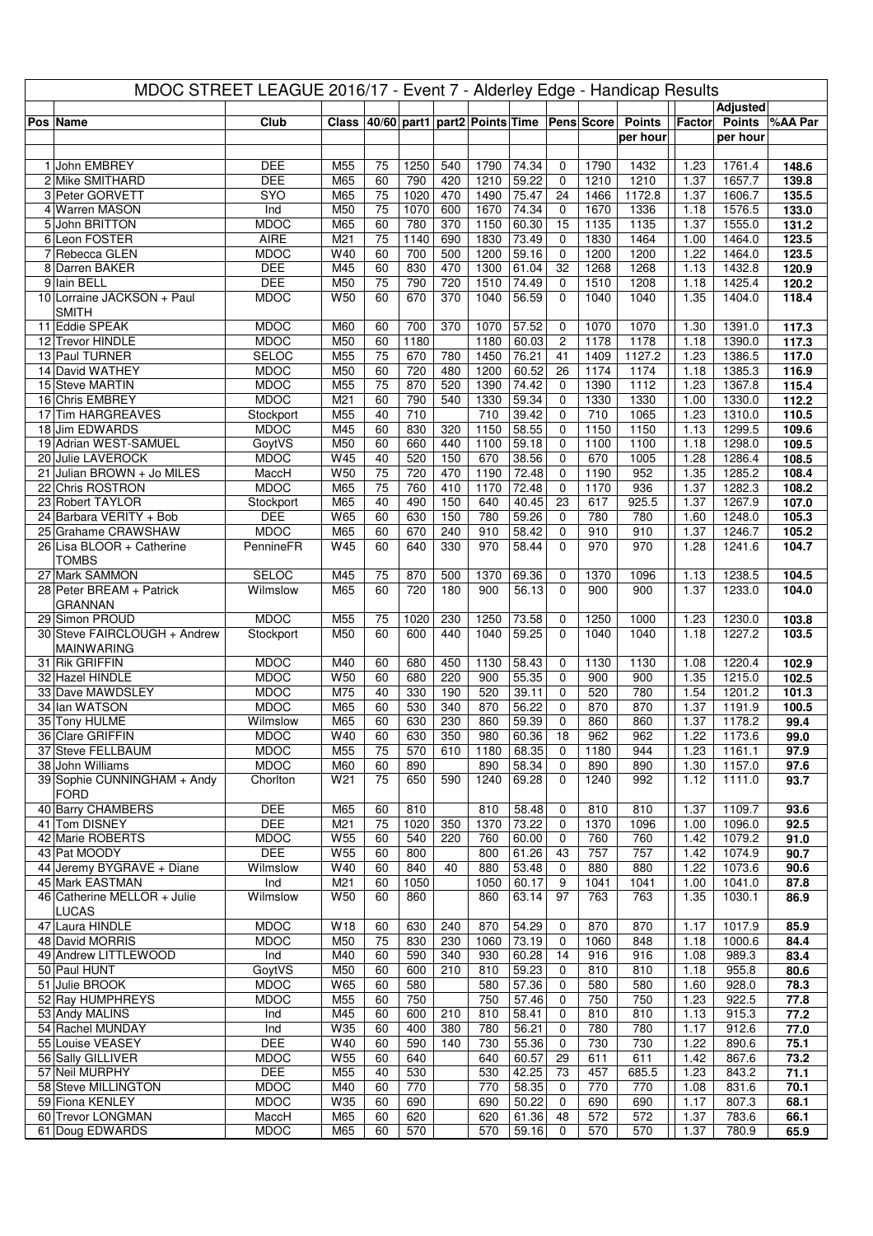| MDOC STREET LEAGUE 2016/17 - Event 7 - Alderley Edge - Handicap Results |                                                   |                            |                        |          |             |                  |                                          |                   |                 |              |               |              |                    |                |
|-------------------------------------------------------------------------|---------------------------------------------------|----------------------------|------------------------|----------|-------------|------------------|------------------------------------------|-------------------|-----------------|--------------|---------------|--------------|--------------------|----------------|
|                                                                         |                                                   |                            |                        |          |             |                  |                                          |                   |                 |              |               |              | Adjusted           |                |
|                                                                         | Pos Name                                          | Club                       | <b>Class</b>           |          |             |                  | 40/60 part1 part2 Points Time Pens Score |                   |                 |              | <b>Points</b> | Factor       | <b>Points</b>      | %AA Par        |
|                                                                         |                                                   |                            |                        |          |             |                  |                                          |                   |                 |              | per hour      |              | per hour           |                |
|                                                                         |                                                   | <b>DEE</b>                 |                        |          |             | 540              |                                          | 74.34             |                 |              | 1432          |              | 1761.4             | 148.6          |
|                                                                         | 1 John EMBREY<br>2 Mike SMITHARD                  | <b>DEE</b>                 | M55<br>M65             | 75<br>60 | 1250<br>790 | 420              | 1790<br>1210                             | 59.22             | 0<br>0          | 1790<br>1210 | 1210          | 1.23<br>1.37 | 1657.7             | 139.8          |
|                                                                         | 3 Peter GORVETT                                   | <b>SYO</b>                 | M65                    | 75       | 1020        | 470              | 1490                                     | 75.47             | 24              | 1466         | 1172.8        | 1.37         | 1606.7             | 135.5          |
|                                                                         | 4 Warren MASON                                    | Ind                        | M50                    | 75       | 1070        | 600              | 1670                                     | 74.34             | 0               | 1670         | 1336          | 1.18         | 1576.5             | 133.0          |
|                                                                         | 5 John BRITTON                                    | <b>MDOC</b>                | M65                    | 60       | 780         | $\overline{370}$ | 1150                                     | 60.30             | 15              | 1135         | 1135          | 1.37         | 1555.0             | 131.2          |
|                                                                         | 6 Leon FOSTER                                     | <b>AIRE</b>                | M <sub>21</sub>        | 75       | 1140        | 690              | 1830                                     | 73.49             | 0               | 1830         | 1464          | 1.00         | 1464.0             | 123.5          |
|                                                                         | 7 Rebecca GLEN                                    | <b>MDOC</b>                | W40                    | 60       | 700         | 500              | 1200                                     | 59.16             | $\mathbf 0$     | 1200         | 1200          | 1.22         | 1464.0             | 123.5          |
|                                                                         | 8 Darren BAKER                                    | <b>DEE</b>                 | M45                    | 60       | 830         | 470              | 1300                                     | 61.04             | 32              | 1268         | 1268          | 1.13         | 1432.8             | 120.9          |
|                                                                         | 9 Iain BELL                                       | <b>DEE</b>                 | M50                    | 75       | 790         | 720              | 1510                                     | 74.49             | $\mathbf 0$     | 1510         | 1208          | 1.18         | 1425.4             | 120.2          |
|                                                                         | 10 Lorraine JACKSON + Paul<br><b>SMITH</b>        | <b>MDOC</b>                | W <sub>50</sub>        | 60       | 670         | 370              | 1040                                     | 56.59             | $\Omega$        | 1040         | 1040          | 1.35         | 1404.0             | 118.4          |
|                                                                         | 11 Eddie SPEAK                                    | <b>MDOC</b>                | M60                    | 60       | 700         | 370              | 1070                                     | 57.52             | 0               | 1070         | 1070          | 1.30         | 1391.0             | 117.3          |
|                                                                         | 12 Trevor HINDLE                                  | <b>MDOC</b>                | M50                    | 60       | 1180        |                  | 1180                                     | 60.03             | $\overline{c}$  | 1178         | 1178          | 1.18         | 1390.0             | 117.3          |
|                                                                         | 13 Paul TURNER                                    | <b>SELOC</b>               | M <sub>55</sub>        | 75       | 670         | 780              | 1450                                     | 76.21             | 41              | 1409         | 1127.2        | 1.23         | 1386.5             | 117.0          |
|                                                                         | 14 David WATHEY                                   | <b>MDOC</b>                | M50                    | 60       | 720         | 480              | 1200                                     | 60.52             | 26              | 1174         | 1174          | 1.18         | 1385.3             | 116.9          |
|                                                                         | 15 Steve MARTIN                                   | <b>MDOC</b>                | M <sub>55</sub>        | 75       | 870         | 520              | 1390                                     | 74.42             | 0               | 1390         | 1112          | 1.23         | 1367.8             | 115.4          |
|                                                                         | 16 Chris EMBREY                                   | <b>MDOC</b>                | M21                    | 60       | 790         | 540              | 1330                                     | 59.34             | 0               | 1330         | 1330          | 1.00         | 1330.0             | 112.2          |
|                                                                         | 17 Tim HARGREAVES                                 | Stockport                  | M <sub>55</sub>        | 40       | 710         |                  | 710                                      | 39.42             | 0               | 710          | 1065          | 1.23         | 1310.0             | 110.5          |
|                                                                         | 18 Jim EDWARDS                                    | <b>MDOC</b>                | M45                    | 60       | 830         | 320              | 1150                                     | 58.55             | 0               | 1150         | 1150          | 1.13         | 1299.5             | 109.6          |
|                                                                         | 19 Adrian WEST-SAMUEL                             | GoytVS<br><b>MDOC</b>      | M50<br>W45             | 60<br>40 | 660<br>520  | 440<br>150       | 1100<br>670                              | 59.18<br>38.56    | 0<br>0          | 1100<br>670  | 1100<br>1005  | 1.18         | 1298.0<br>1286.4   | 109.5          |
|                                                                         | 20 Julie LAVEROCK<br>21 Julian BROWN + Jo MILES   | MaccH                      | W50                    | 75       | 720         | 470              | 1190                                     | 72.48             | 0               | 1190         | 952           | 1.28<br>1.35 | 1285.2             | 108.5<br>108.4 |
|                                                                         | 22 Chris ROSTRON                                  | <b>MDOC</b>                | M65                    | 75       | 760         | 410              | 1170                                     | 72.48             | 0               | 1170         | 936           | 1.37         | 1282.3             | 108.2          |
|                                                                         | 23 Robert TAYLOR                                  | Stockport                  | M65                    | 40       | 490         | 150              | 640                                      | 40.45             | 23              | 617          | 925.5         | 1.37         | 1267.9             | 107.0          |
|                                                                         | 24 Barbara VERITY + Bob                           | <b>DEE</b>                 | W65                    | 60       | 630         | 150              | 780                                      | 59.26             | 0               | 780          | 780           | 1.60         | 1248.0             | 105.3          |
|                                                                         | 25 Grahame CRAWSHAW                               | <b>MDOC</b>                | M65                    | 60       | 670         | 240              | 910                                      | $\frac{1}{58.42}$ | 0               | 910          | 910           | 1.37         | 1246.7             | 105.2          |
|                                                                         | 26 Lisa BLOOR + Catherine<br><b>TOMBS</b>         | PennineFR                  | W45                    | 60       | 640         | 330              | 970                                      | 58.44             | 0               | 970          | 970           | 1.28         | 1241.6             | 104.7          |
|                                                                         | 27 Mark SAMMON                                    | <b>SELOC</b>               | M45                    | 75       | 870         | 500              | 1370                                     | 69.36             | 0               | 1370         | 1096          | 1.13         | 1238.5             | 104.5          |
|                                                                         | 28 Peter BREAM + Patrick                          | Wilmslow                   | M65                    | 60       | 720         | 180              | 900                                      | 56.13             | $\Omega$        | 900          | 900           | 1.37         | 1233.0             | 104.0          |
|                                                                         | <b>GRANNAN</b>                                    |                            |                        |          |             |                  |                                          |                   |                 |              |               |              |                    |                |
|                                                                         | 29 Simon PROUD                                    | <b>MDOC</b>                | M <sub>55</sub>        | 75       | 1020        | 230              | 1250                                     | 73.58             | 0               | 1250         | 1000          | 1.23         | 1230.0             | 103.8          |
|                                                                         | 30 Steve FAIRCLOUGH + Andrew<br><b>MAINWARING</b> | Stockport                  | M50                    | 60       | 600         | 440              | 1040                                     | 59.25             | $\Omega$        | 1040         | 1040          | 1.18         | 1227.2             | 103.5          |
|                                                                         | 31 Rik GRIFFIN                                    | <b>MDOC</b>                | M40                    | 60       | 680         | 450              | 1130                                     | 58.43             | 0               | 1130         | 1130          | 1.08         | 1220.4             | 102.9          |
|                                                                         | 32 Hazel HINDLE                                   | <b>MDOC</b>                | W50                    | 60       | 680         | 220              | 900                                      | 55.35             | 0               | 900          | 900           | 1.35         | 1215.0             | 102.5          |
|                                                                         | 33 Dave MAWDSLEY<br>34 Ian WATSON                 | <b>MDOC</b><br><b>MDOC</b> | M75<br>M65             | 40       | 330<br>530  | 190<br>340       | 520<br>870                               | 39.11<br>56.22    | 0<br>$\Omega$   | 520<br>870   | 780<br>870    | 1.54<br>1.37 | 1201.2<br>1191.9   | 101.3<br>100.5 |
|                                                                         | 35 Tony HULME                                     | Wilmslow                   | M65                    | 60<br>60 | 630         | 230              | 860                                      | 59.39             | 0               | 860          | 860           | 1.37         | 1178.2             | 99.4           |
|                                                                         | 36 Clare GRIFFIN                                  | <b>MDOC</b>                | W40                    | 60       | 630         | 350              | 980                                      | 60.36             | $\overline{18}$ | 962          | 962           | 1.22         | 1173.6             | 99.0           |
|                                                                         | 37 Steve FELLBAUM                                 | <b>MDOC</b>                | M <sub>55</sub>        | 75       | 570         | 610              | 1180                                     | 68.35             | 0               | 1180         | 944           | 1.23         | 1161.1             | 97.9           |
|                                                                         | 38 John Williams                                  | <b>MDOC</b>                | M60                    | 60       | 890         |                  | 890                                      | 58.34             | 0               | 890          | 890           | 1.30         | 1157.0             | 97.6           |
|                                                                         | 39 Sophie CUNNINGHAM + Andy                       | Chorlton                   | W21                    | 75       | 650         | 590              | 1240                                     | 69.28             | $\mathbf 0$     | 1240         | 992           | 1.12         | 1111.0             | 93.7           |
|                                                                         | <b>FORD</b>                                       |                            |                        |          |             |                  |                                          |                   |                 |              |               |              |                    |                |
|                                                                         | 40 Barry CHAMBERS                                 | <b>DEE</b>                 | M65                    | 60       | 810         |                  | 810                                      | 58.48             | 0               | 810          | 810           | 1.37         | 1109.7             | 93.6           |
|                                                                         | 41 Tom DISNEY                                     | <b>DEE</b>                 | M21                    | 75       | 1020        | 350              | 1370                                     | 73.22             | 0               | 1370         | 1096          | 1.00         | 1096.0             | 92.5           |
|                                                                         | 42 Marie ROBERTS<br>43 Pat MOODY                  | <b>MDOC</b><br><b>DEE</b>  | W <sub>55</sub><br>W55 | 60<br>60 | 540<br>800  | 220              | 760<br>800                               | 60.00<br>61.26    | 0<br>43         | 760<br>757   | 760<br>757    | 1.42<br>1.42 | 1079.2<br>1074.9   | 91.0<br>90.7   |
|                                                                         | 44 Jeremy BYGRAVE + Diane                         | Wilmslow                   | W40                    | 60       | 840         | 40               | 880                                      | 53.48             | 0               | 880          | 880           | 1.22         | 1073.6             | 90.6           |
|                                                                         | 45 Mark EASTMAN                                   | Ind                        | M21                    | 60       | 1050        |                  | 1050                                     | 60.17             | 9               | 1041         | 1041          | 1.00         | 1041.0             | 87.8           |
|                                                                         | 46 Catherine MELLOR + Julie<br><b>LUCAS</b>       | Wilmslow                   | W50                    | 60       | 860         |                  | 860                                      | 63.14             | 97              | 763          | 763           | 1.35         | 1030.1             | 86.9           |
|                                                                         | 47 Laura HINDLE                                   | <b>MDOC</b>                | W18                    | 60       | 630         | 240              | 870                                      | 54.29             | 0               | 870          | 870           | 1.17         | 1017.9             | 85.9           |
|                                                                         | 48 David MORRIS                                   | <b>MDOC</b>                | M50                    | 75       | 830         | 230              | 1060                                     | 73.19             | 0               | 1060         | 848           | 1.18         | 1000.6             | 84.4           |
|                                                                         | 49 Andrew LITTLEWOOD                              | Ind                        | M40                    | 60       | 590         | 340              | 930                                      | 60.28             | 14              | 916          | 916           | 1.08         | 989.3              | 83.4           |
|                                                                         | 50 Paul HUNT                                      | GoytVS                     | M50                    | 60       | 600         | 210              | 810                                      | 59.23             | 0               | 810          | 810           | 1.18         | 955.8              | 80.6           |
|                                                                         | 51 Julie BROOK                                    | <b>MDOC</b>                | W65                    | 60       | 580         |                  | 580                                      | 57.36             | 0               | 580          | 580           | 1.60         | 928.0              | 78.3           |
|                                                                         | 52 Ray HUMPHREYS                                  | <b>MDOC</b>                | M55                    | 60       | 750         |                  | 750                                      | 57.46             | 0               | 750          | 750           | 1.23         | $\overline{922.5}$ | 77.8           |
|                                                                         | 53 Andy MALINS<br>54 Rachel MUNDAY                | Ind<br>Ind                 | M45<br>W35             | 60<br>60 | 600<br>400  | 210<br>380       | 810<br>780                               | 58.41<br>56.21    | 0<br>0          | 810<br>780   | 810<br>780    | 1.13<br>1.17 | 915.3<br>912.6     | 77.2<br>77.0   |
|                                                                         | 55 Louise VEASEY                                  | <b>DEE</b>                 | $\overline{W}$ 40      | 60       | 590         | 140              | 730                                      | 55.36             | 0               | 730          | 730           | 1.22         | 890.6              | 75.1           |
|                                                                         | 56 Sally GILLIVER                                 | <b>MDOC</b>                | W55                    | 60       | 640         |                  | 640                                      | 60.57             | 29              | 611          | 611           | 1.42         | 867.6              | 73.2           |
|                                                                         | 57 Neil MURPHY                                    | <b>DEE</b>                 | M <sub>55</sub>        | 40       | 530         |                  | 530                                      | 42.25             | 73              | 457          | 685.5         | 1.23         | 843.2              | 71.1           |
|                                                                         | 58 Steve MILLINGTON                               | <b>MDOC</b>                | M40                    | 60       | 770         |                  | 770                                      | 58.35             | 0               | 770          | 770           | 1.08         | 831.6              | 70.1           |
|                                                                         | 59 Fiona KENLEY                                   | <b>MDOC</b>                | W35                    | 60       | 690         |                  | 690                                      | 50.22             | 0               | 690          | 690           | 1.17         | 807.3              | 68.1           |
|                                                                         | 60 Trevor LONGMAN                                 | MaccH                      | M65                    | 60       | 620         |                  | 620                                      | 61.36             | 48              | 572          | 572           | 1.37         | 783.6              | 66.1           |
|                                                                         | 61 Doug EDWARDS                                   | <b>MDOC</b>                | M65                    | 60       | 570         |                  | 570                                      | 59.16             | 0               | 570          | 570           | 1.37         | 780.9              | 65.9           |